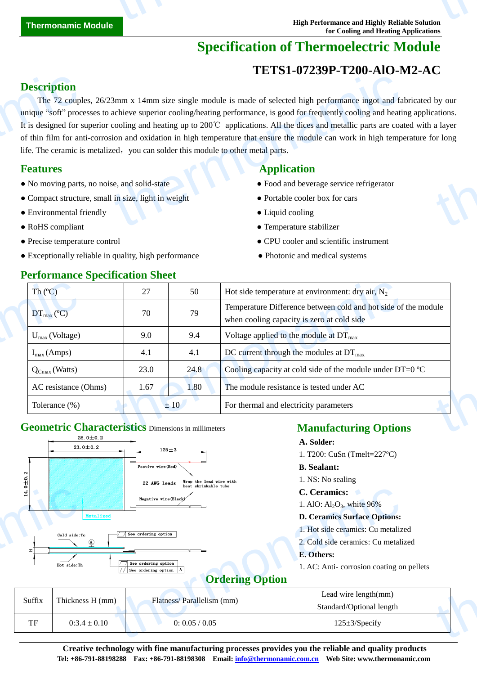# **Specification of Thermoelectric Module**

### **TETS1-07239P-T200-AlO-M2-AC**

#### **Description**

The 72 couples, 26/23mm x 14mm size single module is made of selected high performance ingot and fabricated by our unique "soft" processes to achieve superior cooling/heating performance, is good for frequently cooling and heating applications. It is designed for superior cooling and heating up to 200℃ applications. All the dices and metallic parts are coated with a layer of thin film for anti-corrosion and oxidation in high temperature that ensure the module can work in high temperature for long life. The ceramic is metalized, you can solder this module to other metal parts. **Description**<br>The 72 coupl<br>unique "soft" proc<br>It is designed for s<br>of thin film for an<br>life. The ceramic is<br>**Features**<br>• No moving parts<br>• Compact structu<br>• Environmental f  $14\text{mm}$  size single module is made of selected high performance ingot and fa<br>achieve superior cooling/heating performance, is good for frequently cooling and heatincooling and heating up to 200°C applications. All the d by our cations.

- No moving parts, no noise, and solid-state **•** Food and beverage service refrigerator
- Compact structure, small in size, light in weight **•** Portable cooler box for cars
- Environmental friendly Liquid cooling
- 
- 
- Exceptionally reliable in quality, high performance • • Photonic and medical systems

## **Features Application Application**

- 
- 
- 
- RoHS compliant Temperature stabilizer
- Precise temperature control CPU cooler and scientific instrument

| Th(C)                      | 27   | 50   | Hot side temperature at environment: dry air, $N_2$                                                          |
|----------------------------|------|------|--------------------------------------------------------------------------------------------------------------|
| $DT_{\text{max}}(C)$       | 70   | 79   | Temperature Difference between cold and hot side of the module<br>when cooling capacity is zero at cold side |
| $U_{\text{max}}$ (Voltage) | 9.0  | 9.4  | Voltage applied to the module at $DT_{\text{max}}$                                                           |
| $I_{max}(Amps)$            | 4.1  | 4.1  | DC current through the modules at $DT_{\text{max}}$                                                          |
| $Q_{Cmax}$ (Watts)         | 23.0 | 24.8 | Cooling capacity at cold side of the module under DT=0 $\mathbb{C}$                                          |
| AC resistance (Ohms)       | 1.67 | 1.80 | The module resistance is tested under AC                                                                     |
| Tolerance (%)              |      | ±10  | For thermal and electricity parameters                                                                       |

# **Geometric Characteristics** Dimensions in millimeters



| $\circ$<br>$\left  \frac{4}{1} \right $ | Metalized<br>Cold side:Tc<br>$\Omega$<br>Hot side:Th | neat shrinkable tupe<br>Negative wire(Black)<br>See ordering option<br>See ordering option<br>See ordering option A<br><b>Ordering Option</b> | C. Ceramics:<br>1. AlO: $Al_2O_3$ , white 96%<br><b>D. Ceramics Surface Options:</b><br>1. Hot side ceramics: Cu metalized<br>2. Cold side ceramics: Cu metalized<br>E. Others:<br>1. AC: Anti-corrosion coating on pellets |
|-----------------------------------------|------------------------------------------------------|-----------------------------------------------------------------------------------------------------------------------------------------------|-----------------------------------------------------------------------------------------------------------------------------------------------------------------------------------------------------------------------------|
| Suffix                                  | Thickness H (mm)                                     | Flatness/Parallelism (mm)                                                                                                                     | Lead wire length(mm)<br>Standard/Optional length                                                                                                                                                                            |
| TF                                      | $0:3.4 \pm 0.10$                                     | 0: 0.05 / 0.05                                                                                                                                | $125 \pm 3$ /Specify                                                                                                                                                                                                        |
|                                         |                                                      |                                                                                                                                               |                                                                                                                                                                                                                             |

**Creative technology with fine manufacturing processes provides you the reliable and quality products Tel: +86-791-88198288 Fax: +86-791-88198308 Email: info@thermonamic.com.cn Web Site: www.thermonamic.com**

#### **Performance Specification Sheet**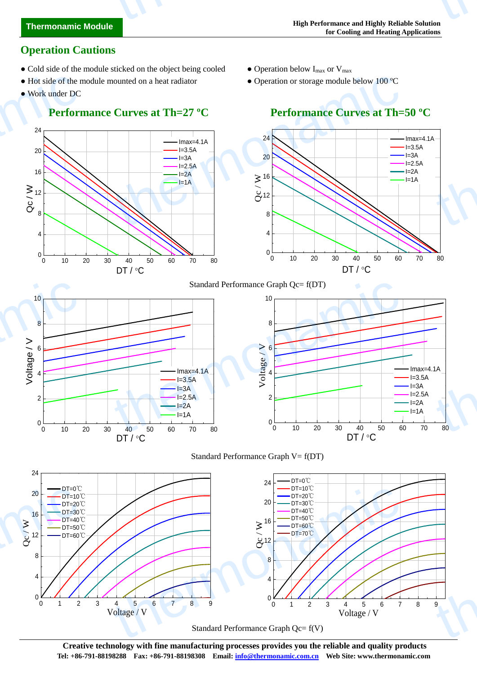# **Thermonamic Module** thermonamic

#### **Operation Cautions**

- Cold side of the module sticked on the object being cooled Operation below  $I_{max}$  or  $V_{max}$
- Hot side of the module mounted on a heat radiator Operation or storage module below 100 °C
- Work under DC

#### **Performance Curves at Th=27 °C** Performance Curves at Th=50 °C

- 
- 



Standard Performance Graph Qc= f(V)

**Creative technology with fine manufacturing processes provides you the reliable and quality products Tel: +86-791-88198288 Fax: +86-791-88198308 Email: info@thermonamic.com.cn Web Site: www.thermonamic.com**